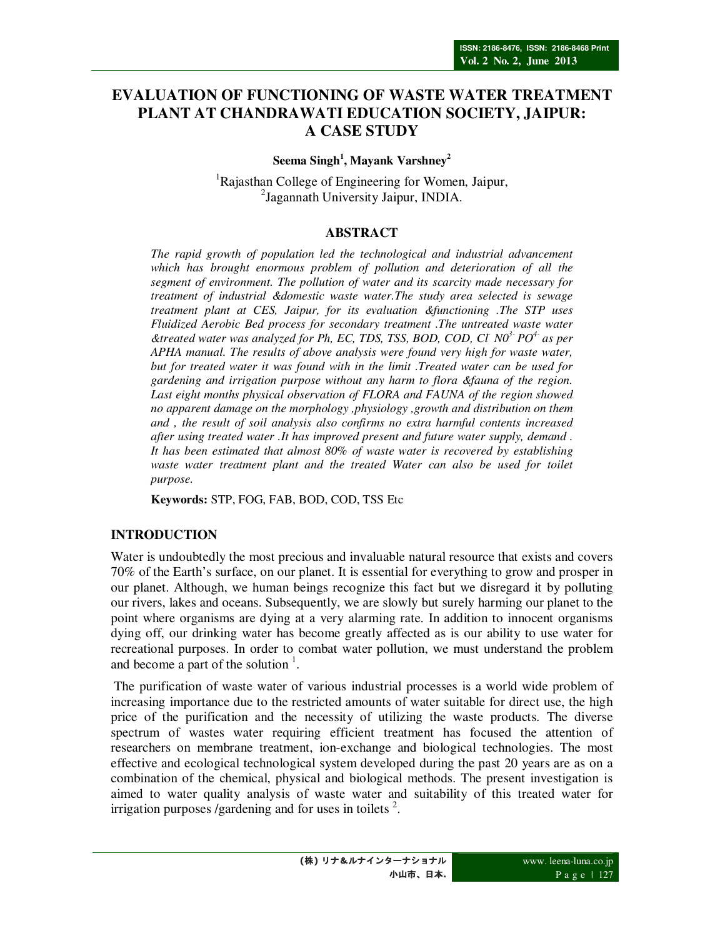# **EVALUATION OF FUNCTIONING OF WASTE WATER TREATMENT PLANT AT CHANDRAWATI EDUCATION SOCIETY, JAIPUR: A CASE STUDY**

**Seema Singh<sup>1</sup> , Mayank Varshney<sup>2</sup>**

<sup>1</sup>Rajasthan College of Engineering for Women, Jaipur, 2 Jagannath University Jaipur, INDIA.

#### **ABSTRACT**

*The rapid growth of population led the technological and industrial advancement which has brought enormous problem of pollution and deterioration of all the segment of environment. The pollution of water and its scarcity made necessary for treatment of industrial &domestic waste water.The study area selected is sewage treatment plant at CES, Jaipur, for its evaluation &functioning .The STP uses Fluidized Aerobic Bed process for secondary treatment .The untreated waste water &treated water was analyzed for Ph, EC, TDS, TSS, BOD, COD, Cl- N03- PO4- as per APHA manual. The results of above analysis were found very high for waste water, but for treated water it was found with in the limit .Treated water can be used for gardening and irrigation purpose without any harm to flora &fauna of the region. Last eight months physical observation of FLORA and FAUNA of the region showed no apparent damage on the morphology ,physiology ,growth and distribution on them and , the result of soil analysis also confirms no extra harmful contents increased after using treated water .It has improved present and future water supply, demand . It has been estimated that almost 80% of waste water is recovered by establishing*  waste water treatment plant and the treated Water can also be used for toilet *purpose.*

**Keywords:** STP, FOG, FAB, BOD, COD, TSS Etc

### **INTRODUCTION**

Water is undoubtedly the most precious and invaluable natural resource that exists and covers 70% of the Earth's surface, on our planet. It is essential for everything to grow and prosper in our planet. Although, we human beings recognize this fact but we disregard it by polluting our rivers, lakes and oceans. Subsequently, we are slowly but surely harming our planet to the point where organisms are dying at a very alarming rate. In addition to innocent organisms dying off, our drinking water has become greatly affected as is our ability to use water for recreational purposes. In order to combat water pollution, we must understand the problem and become a part of the solution  $<sup>1</sup>$ .</sup>

 The purification of waste water of various industrial processes is a world wide problem of increasing importance due to the restricted amounts of water suitable for direct use, the high price of the purification and the necessity of utilizing the waste products. The diverse spectrum of wastes water requiring efficient treatment has focused the attention of researchers on membrane treatment, ion-exchange and biological technologies. The most effective and ecological technological system developed during the past 20 years are as on a combination of the chemical, physical and biological methods. The present investigation is aimed to water quality analysis of waste water and suitability of this treated water for irrigation purposes /gardening and for uses in toilets  $2$ .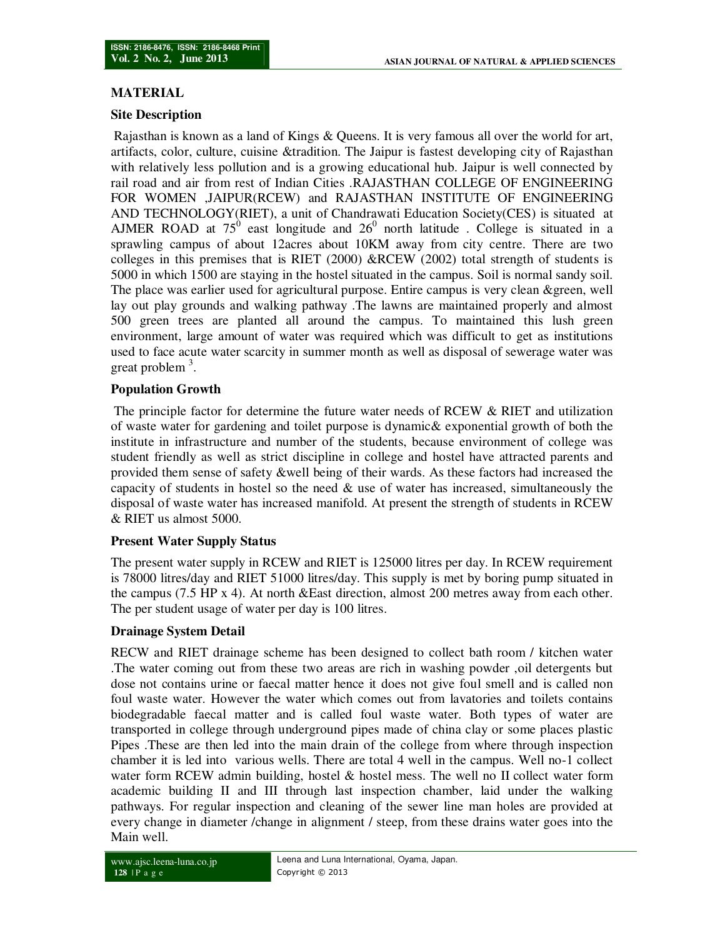## **MATERIAL**

### **Site Description**

Rajasthan is known as a land of Kings & Queens. It is very famous all over the world for art, artifacts, color, culture, cuisine &tradition. The Jaipur is fastest developing city of Rajasthan with relatively less pollution and is a growing educational hub. Jaipur is well connected by rail road and air from rest of Indian Cities .RAJASTHAN COLLEGE OF ENGINEERING FOR WOMEN ,JAIPUR(RCEW) and RAJASTHAN INSTITUTE OF ENGINEERING AND TECHNOLOGY(RIET), a unit of Chandrawati Education Society(CES) is situated at AJMER ROAD at  $75^{\circ}$  east longitude and  $26^{\circ}$  north latitude. College is situated in a sprawling campus of about 12acres about 10KM away from city centre. There are two colleges in this premises that is RIET  $(2000)$  &RCEW  $(2002)$  total strength of students is 5000 in which 1500 are staying in the hostel situated in the campus. Soil is normal sandy soil. The place was earlier used for agricultural purpose. Entire campus is very clean &green, well lay out play grounds and walking pathway .The lawns are maintained properly and almost 500 green trees are planted all around the campus. To maintained this lush green environment, large amount of water was required which was difficult to get as institutions used to face acute water scarcity in summer month as well as disposal of sewerage water was great problem<sup>3</sup>.

## **Population Growth**

 The principle factor for determine the future water needs of RCEW & RIET and utilization of waste water for gardening and toilet purpose is dynamic& exponential growth of both the institute in infrastructure and number of the students, because environment of college was student friendly as well as strict discipline in college and hostel have attracted parents and provided them sense of safety &well being of their wards. As these factors had increased the capacity of students in hostel so the need  $\&$  use of water has increased, simultaneously the disposal of waste water has increased manifold. At present the strength of students in RCEW & RIET us almost 5000.

## **Present Water Supply Status**

The present water supply in RCEW and RIET is 125000 litres per day. In RCEW requirement is 78000 litres/day and RIET 51000 litres/day. This supply is met by boring pump situated in the campus (7.5 HP x 4). At north &East direction, almost 200 metres away from each other. The per student usage of water per day is 100 litres.

### **Drainage System Detail**

RECW and RIET drainage scheme has been designed to collect bath room / kitchen water .The water coming out from these two areas are rich in washing powder ,oil detergents but dose not contains urine or faecal matter hence it does not give foul smell and is called non foul waste water. However the water which comes out from lavatories and toilets contains biodegradable faecal matter and is called foul waste water. Both types of water are transported in college through underground pipes made of china clay or some places plastic Pipes .These are then led into the main drain of the college from where through inspection chamber it is led into various wells. There are total 4 well in the campus. Well no-1 collect water form RCEW admin building, hostel  $\&$  hostel mess. The well no II collect water form academic building II and III through last inspection chamber, laid under the walking pathways. For regular inspection and cleaning of the sewer line man holes are provided at every change in diameter /change in alignment / steep, from these drains water goes into the Main well.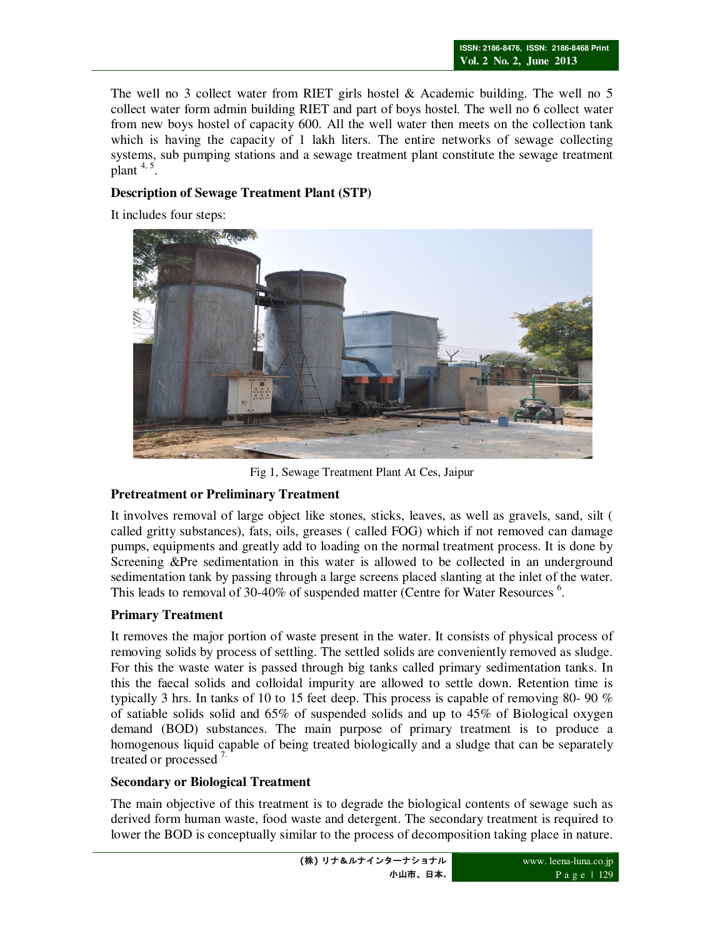The well no 3 collect water from RIET girls hostel  $\&$  Academic building. The well no 5 collect water form admin building RIET and part of boys hostel. The well no 6 collect water from new boys hostel of capacity 600. All the well water then meets on the collection tank which is having the capacity of 1 lakh liters. The entire networks of sewage collecting systems, sub pumping stations and a sewage treatment plant constitute the sewage treatment plant  $4, 5$ .

## **Description of Sewage Treatment Plant (STP)**

It includes four steps:



Fig 1, Sewage Treatment Plant At Ces, Jaipur

## **Pretreatment or Preliminary Treatment**

It involves removal of large object like stones, sticks, leaves, as well as gravels, sand, silt ( called gritty substances), fats, oils, greases ( called FOG) which if not removed can damage pumps, equipments and greatly add to loading on the normal treatment process. It is done by Screening &Pre sedimentation in this water is allowed to be collected in an underground sedimentation tank by passing through a large screens placed slanting at the inlet of the water. This leads to removal of 30-40% of suspended matter (Centre for Water Resources<sup>6</sup>.

## **Primary Treatment**

It removes the major portion of waste present in the water. It consists of physical process of removing solids by process of settling. The settled solids are conveniently removed as sludge. For this the waste water is passed through big tanks called primary sedimentation tanks. In this the faecal solids and colloidal impurity are allowed to settle down. Retention time is typically 3 hrs. In tanks of 10 to 15 feet deep. This process is capable of removing 80- 90 % of satiable solids solid and 65% of suspended solids and up to 45% of Biological oxygen demand (BOD) substances. The main purpose of primary treatment is to produce a homogenous liquid capable of being treated biologically and a sludge that can be separately treated or processed<sup>7.</sup>

## **Secondary or Biological Treatment**

The main objective of this treatment is to degrade the biological contents of sewage such as derived form human waste, food waste and detergent. The secondary treatment is required to lower the BOD is conceptually similar to the process of decomposition taking place in nature.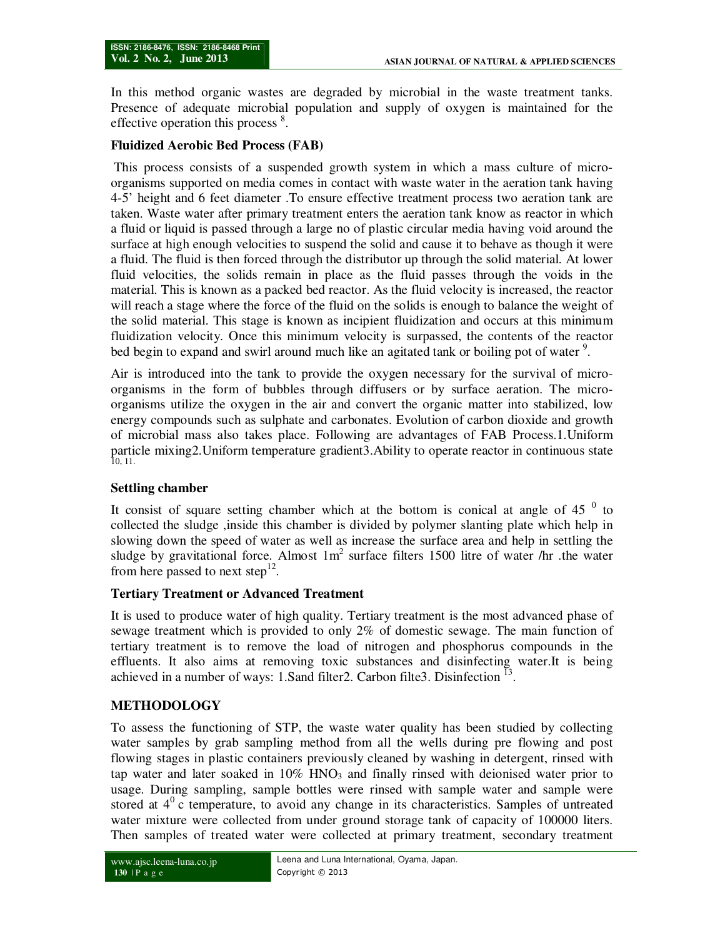In this method organic wastes are degraded by microbial in the waste treatment tanks. Presence of adequate microbial population and supply of oxygen is maintained for the effective operation this process<sup>8</sup>.

#### **Fluidized Aerobic Bed Process (FAB)**

 This process consists of a suspended growth system in which a mass culture of microorganisms supported on media comes in contact with waste water in the aeration tank having 4-5' height and 6 feet diameter .To ensure effective treatment process two aeration tank are taken. Waste water after primary treatment enters the aeration tank know as reactor in which a fluid or liquid is passed through a large no of plastic circular media having void around the surface at high enough velocities to suspend the solid and cause it to behave as though it were a fluid. The fluid is then forced through the distributor up through the solid material. At lower fluid velocities, the solids remain in place as the fluid passes through the voids in the material. This is known as a packed bed reactor. As the fluid velocity is increased, the reactor will reach a stage where the force of the fluid on the solids is enough to balance the weight of the solid material. This stage is known as incipient fluidization and occurs at this minimum fluidization velocity. Once this minimum velocity is surpassed, the contents of the reactor bed begin to expand and swirl around much like an agitated tank or boiling pot of water<sup>9</sup>.

Air is introduced into the tank to provide the oxygen necessary for the survival of microorganisms in the form of bubbles through diffusers or by surface aeration. The microorganisms utilize the oxygen in the air and convert the organic matter into stabilized, low energy compounds such as sulphate and carbonates. Evolution of carbon dioxide and growth of microbial mass also takes place. Following are advantages of FAB Process.1.Uniform particle mixing2.Uniform temperature gradient3.Ability to operate reactor in continuous state 10, 11.

### **Settling chamber**

It consist of square setting chamber which at the bottom is conical at angle of 45 $<sup>0</sup>$  to</sup> collected the sludge ,inside this chamber is divided by polymer slanting plate which help in slowing down the speed of water as well as increase the surface area and help in settling the sludge by gravitational force. Almost  $1m^2$  surface filters 1500 litre of water /hr .the water from here passed to next step<sup>12</sup>.

#### **Tertiary Treatment or Advanced Treatment**

It is used to produce water of high quality. Tertiary treatment is the most advanced phase of sewage treatment which is provided to only 2% of domestic sewage. The main function of tertiary treatment is to remove the load of nitrogen and phosphorus compounds in the effluents. It also aims at removing toxic substances and disinfecting water.It is being achieved in a number of ways: 1.Sand filter 2. Carbon filter 3. Disinfection  $^{13}$ .

### **METHODOLOGY**

To assess the functioning of STP, the waste water quality has been studied by collecting water samples by grab sampling method from all the wells during pre flowing and post flowing stages in plastic containers previously cleaned by washing in detergent, rinsed with tap water and later soaked in  $10\%$  HNO<sub>3</sub> and finally rinsed with deionised water prior to usage. During sampling, sample bottles were rinsed with sample water and sample were stored at  $4^{\circ}$  c temperature, to avoid any change in its characteristics. Samples of untreated water mixture were collected from under ground storage tank of capacity of 100000 liters. Then samples of treated water were collected at primary treatment, secondary treatment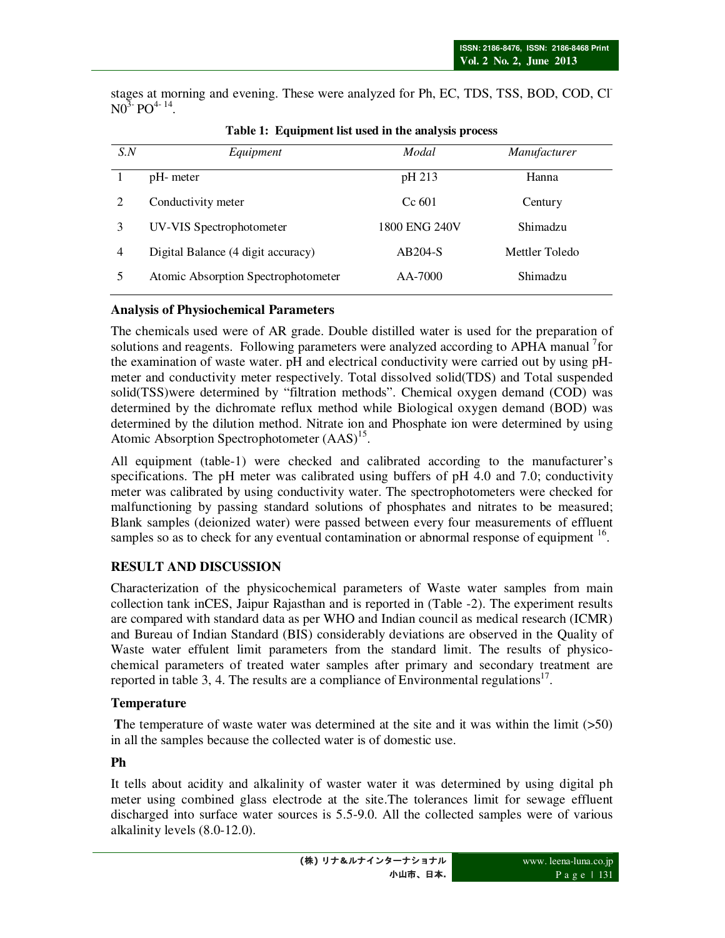stages at morning and evening. These were analyzed for Ph, EC, TDS, TSS, BOD, COD, Cl- $N0^{\bar{3}}$ <sup>-</sup> PO<sup>4-14</sup>.

| S.N            | Equipment                           | Modal         | <i>Manufacturer</i> |
|----------------|-------------------------------------|---------------|---------------------|
|                | pH- meter                           | pH 213        | Hanna               |
|                | Conductivity meter                  | Cc 601        | Century             |
| 3              | UV-VIS Spectrophotometer            | 1800 ENG 240V | Shimadzu            |
| $\overline{4}$ | Digital Balance (4 digit accuracy)  | $AB204-S$     | Mettler Toledo      |
|                | Atomic Absorption Spectrophotometer | $AA-7000$     | Shimadzu            |

### **Table 1: Equipment list used in the analysis process**

### **Analysis of Physiochemical Parameters**

The chemicals used were of AR grade. Double distilled water is used for the preparation of solutions and reagents. Following parameters were analyzed according to APHA manual <sup>7</sup>for the examination of waste water. pH and electrical conductivity were carried out by using pHmeter and conductivity meter respectively. Total dissolved solid(TDS) and Total suspended solid(TSS)were determined by "filtration methods". Chemical oxygen demand (COD) was determined by the dichromate reflux method while Biological oxygen demand (BOD) was determined by the dilution method. Nitrate ion and Phosphate ion were determined by using Atomic Absorption Spectrophotometer  $(AdS)^{15}$ .

All equipment (table-1) were checked and calibrated according to the manufacturer's specifications. The pH meter was calibrated using buffers of pH 4.0 and 7.0; conductivity meter was calibrated by using conductivity water. The spectrophotometers were checked for malfunctioning by passing standard solutions of phosphates and nitrates to be measured; Blank samples (deionized water) were passed between every four measurements of effluent samples so as to check for any eventual contamination or abnormal response of equipment  $16$ .

## **RESULT AND DISCUSSION**

Characterization of the physicochemical parameters of Waste water samples from main collection tank inCES, Jaipur Rajasthan and is reported in (Table -2). The experiment results are compared with standard data as per WHO and Indian council as medical research (ICMR) and Bureau of Indian Standard (BIS) considerably deviations are observed in the Quality of Waste water effulent limit parameters from the standard limit. The results of physicochemical parameters of treated water samples after primary and secondary treatment are reported in table 3, 4. The results are a compliance of Environmental regulations<sup>17</sup>.

## **Temperature**

 **T**he temperature of waste water was determined at the site and it was within the limit (>50) in all the samples because the collected water is of domestic use.

## **Ph**

It tells about acidity and alkalinity of waster water it was determined by using digital ph meter using combined glass electrode at the site.The tolerances limit for sewage effluent discharged into surface water sources is 5.5-9.0. All the collected samples were of various alkalinity levels (8.0-12.0).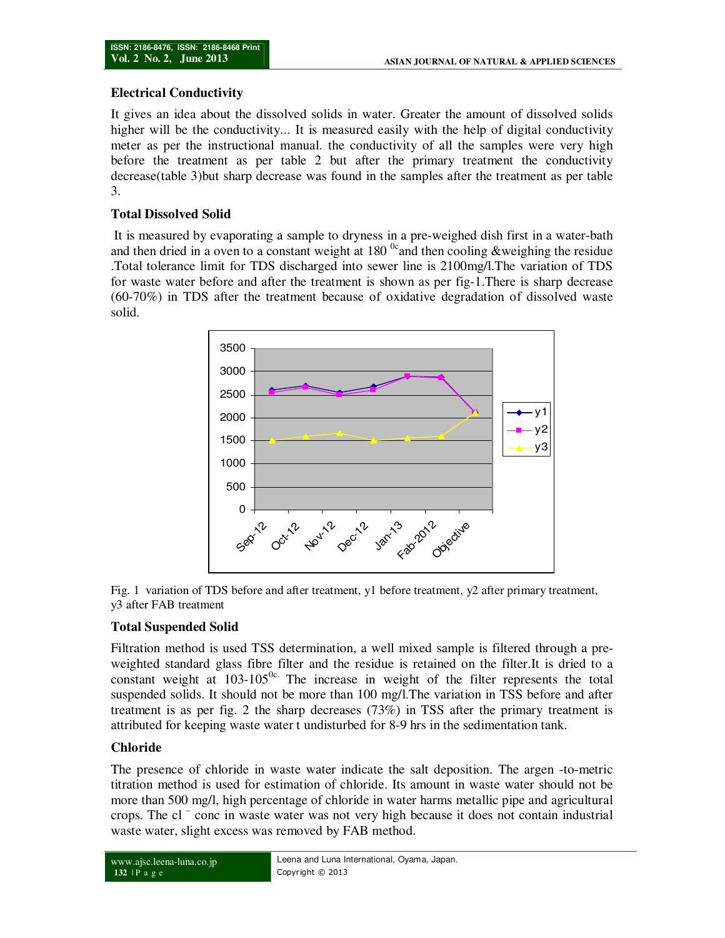### **Electrical Conductivity**

It gives an idea about the dissolved solids in water. Greater the amount of dissolved solids higher will be the conductivity... It is measured easily with the help of digital conductivity meter as per the instructional manual. the conductivity of all the samples were very high before the treatment as per table 2 but after the primary treatment the conductivity decrease(table 3)but sharp decrease was found in the samples after the treatment as per table 3.

### **Total Dissolved Solid**

 It is measured by evaporating a sample to dryness in a pre-weighed dish first in a water-bath and then dried in a oven to a constant weight at  $180<sup>o</sup>$  and then cooling &weighing the residue .Total tolerance limit for TDS discharged into sewer line is 2100mg/l.The variation of TDS for waste water before and after the treatment is shown as per fig-1.There is sharp decrease (60-70%) in TDS after the treatment because of oxidative degradation of dissolved waste solid.





### **Total Suspended Solid**

Filtration method is used TSS determination, a well mixed sample is filtered through a preweighted standard glass fibre filter and the residue is retained on the filter.It is dried to a constant weight at  $103-105^{0c}$ . The increase in weight of the filter represents the total suspended solids. It should not be more than 100 mg/l.The variation in TSS before and after treatment is as per fig. 2 the sharp decreases (73%) in TSS after the primary treatment is attributed for keeping waste water t undisturbed for 8-9 hrs in the sedimentation tank.

### **Chloride**

The presence of chloride in waste water indicate the salt deposition. The argen -to-metric titration method is used for estimation of chloride. Its amount in waste water should not be more than 500 mg/l, high percentage of chloride in water harms metallic pipe and agricultural crops. The cl – conc in waste water was not very high because it does not contain industrial waste water, slight excess was removed by FAB method.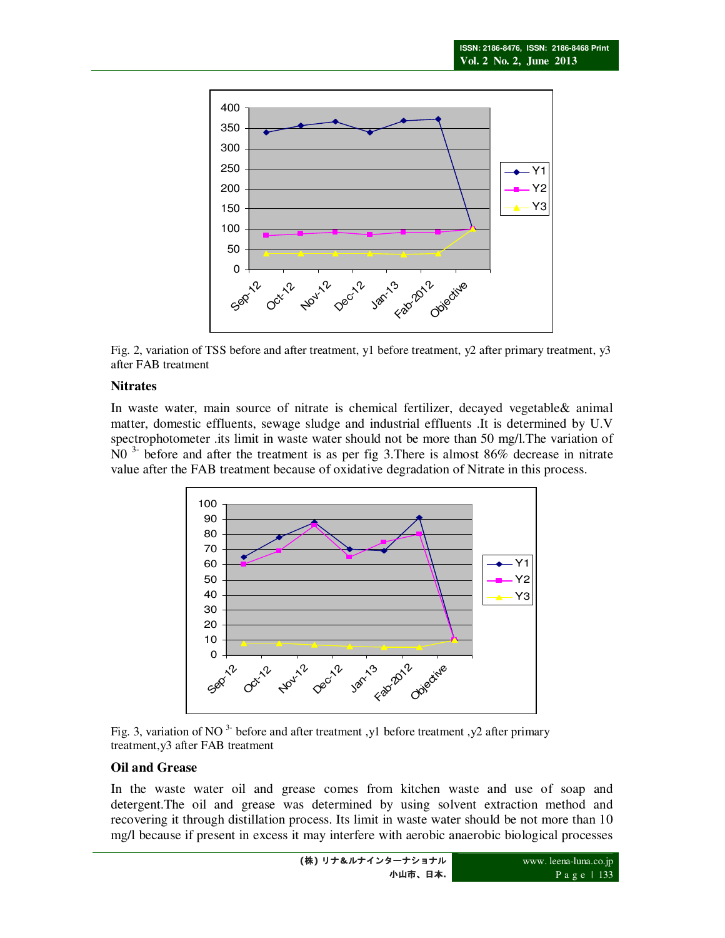

Fig. 2, variation of TSS before and after treatment, y1 before treatment, y2 after primary treatment, y3 after FAB treatment

### **Nitrates**

In waste water, main source of nitrate is chemical fertilizer, decayed vegetable& animal matter, domestic effluents, sewage sludge and industrial effluents .It is determined by U.V spectrophotometer .its limit in waste water should not be more than 50 mg/l.The variation of N0 3- before and after the treatment is as per fig 3.There is almost 86% decrease in nitrate value after the FAB treatment because of oxidative degradation of Nitrate in this process.



Fig. 3, variation of NO  $3$ - before and after treatment ,y1 before treatment ,y2 after primary treatment,y3 after FAB treatment

#### **Oil and Grease**

In the waste water oil and grease comes from kitchen waste and use of soap and detergent.The oil and grease was determined by using solvent extraction method and recovering it through distillation process. Its limit in waste water should be not more than 10 mg/l because if present in excess it may interfere with aerobic anaerobic biological processes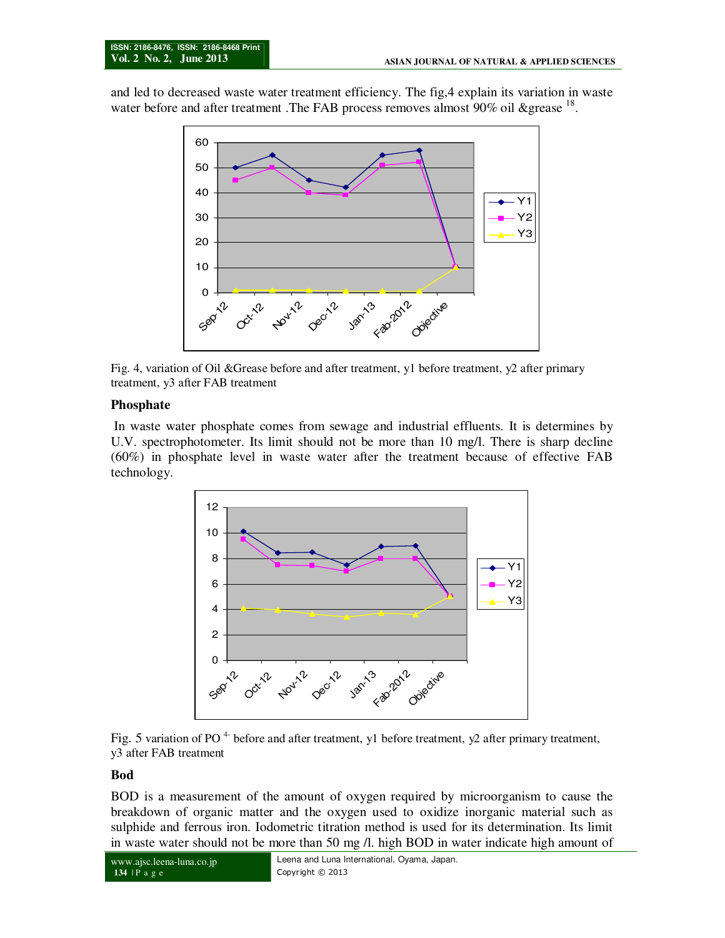and led to decreased waste water treatment efficiency. The fig,4 explain its variation in waste water before and after treatment .The FAB process removes almost 90% oil &grease <sup>18</sup>.



Fig. 4, variation of Oil &Grease before and after treatment, y1 before treatment, y2 after primary treatment, y3 after FAB treatment

#### **Phosphate**

In waste water phosphate comes from sewage and industrial effluents. It is determines by U.V. spectrophotometer. Its limit should not be more than 10 mg/l. There is sharp decline (60%) in phosphate level in waste water after the treatment because of effective FAB technology.





#### **Bod**

BOD is a measurement of the amount of oxygen required by microorganism to cause the breakdown of organic matter and the oxygen used to oxidize inorganic material such as sulphide and ferrous iron. Iodometric titration method is used for its determination. Its limit in waste water should not be more than 50 mg /l. high BOD in water indicate high amount of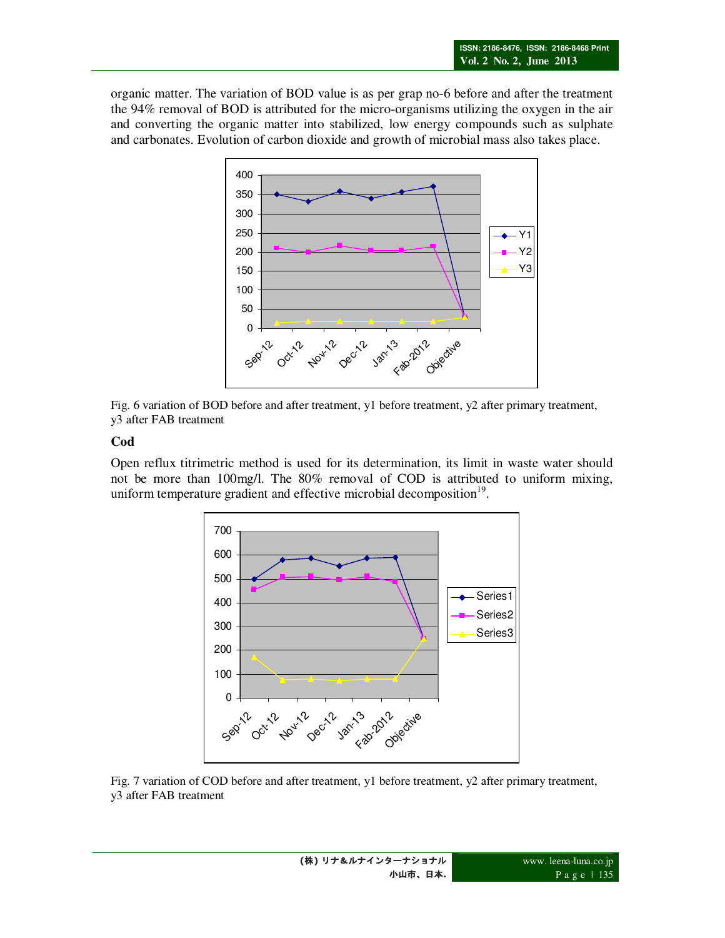organic matter. The variation of BOD value is as per grap no-6 before and after the treatment the 94% removal of BOD is attributed for the micro-organisms utilizing the oxygen in the air and converting the organic matter into stabilized, low energy compounds such as sulphate and carbonates. Evolution of carbon dioxide and growth of microbial mass also takes place.



Fig. 6 variation of BOD before and after treatment, y1 before treatment, y2 after primary treatment, y3 after FAB treatment

### **Cod**

Open reflux titrimetric method is used for its determination, its limit in waste water should not be more than 100mg/l. The 80% removal of COD is attributed to uniform mixing, uniform temperature gradient and effective microbial decomposition $19$ .



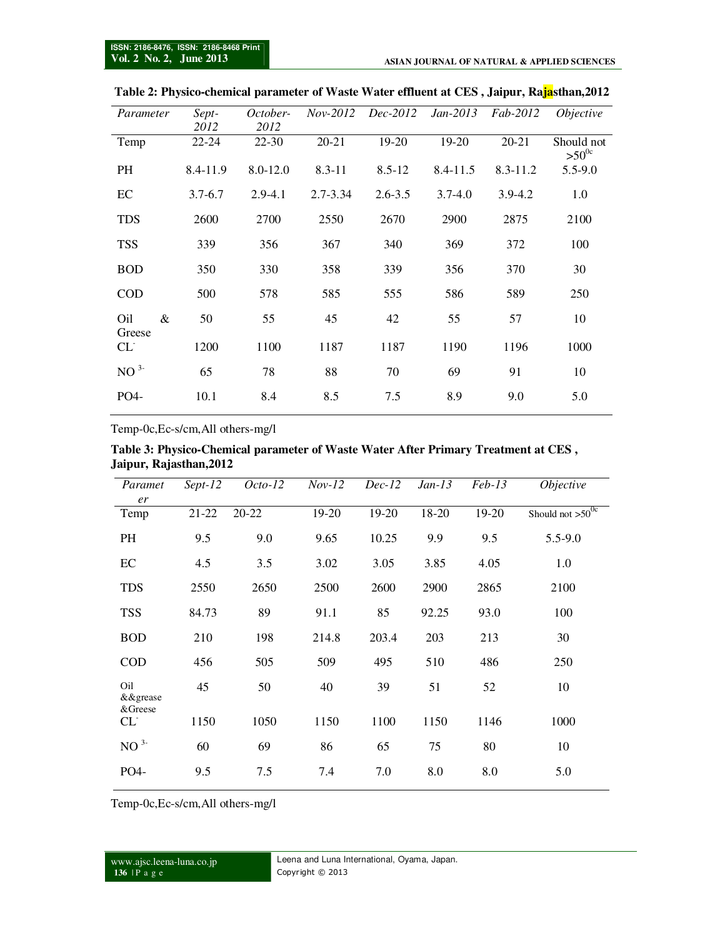| Parameter          | Sept-<br>2012 | October-<br>2012 | $Nov-2012$   | $Dec-2012$  | $Jan-2013$  | Fab-2012     | <i>Objective</i>         |
|--------------------|---------------|------------------|--------------|-------------|-------------|--------------|--------------------------|
| Temp               | $22 - 24$     | $22 - 30$        | $20 - 21$    | 19-20       | 19-20       | 20-21        | Should not<br>$>50^{0c}$ |
| <b>PH</b>          | 8.4-11.9      | 8.0-12.0         | $8.3 - 11$   | $8.5 - 12$  | 8.4-11.5    | $8.3 - 11.2$ | $5.5 - 9.0$              |
| EC                 | $3.7 - 6.7$   | $2.9 - 4.1$      | $2.7 - 3.34$ | $2.6 - 3.5$ | $3.7 - 4.0$ | $3.9 - 4.2$  | 1.0                      |
| <b>TDS</b>         | 2600          | 2700             | 2550         | 2670        | 2900        | 2875         | 2100                     |
| <b>TSS</b>         | 339           | 356              | 367          | 340         | 369         | 372          | 100                      |
| <b>BOD</b>         | 350           | 330              | 358          | 339         | 356         | 370          | 30                       |
| COD                | 500           | 578              | 585          | 555         | 586         | 589          | 250                      |
| &<br>Oil<br>Greese | 50            | 55               | 45           | 42          | 55          | 57           | 10                       |
| CL                 | 1200          | 1100             | 1187         | 1187        | 1190        | 1196         | 1000                     |
| $NO^{3-}$          | 65            | 78               | 88           | 70          | 69          | 91           | 10                       |
| PO4-               | 10.1          | 8.4              | 8.5          | 7.5         | 8.9         | 9.0          | 5.0                      |

**Table 2: Physico-chemical parameter of Waste Water effluent at CES , Jaipur, Rajasthan,2012** 

Temp-0c,Ec-s/cm,All others-mg/l

| Table 3: Physico-Chemical parameter of Waste Water After Primary Treatment at CES, |  |  |
|------------------------------------------------------------------------------------|--|--|
| Jaipur, Rajasthan, 2012                                                            |  |  |

| Paramet                               | $Sept-12$ | $Octo-12$ | $Nov-12$ | $Dec-12$ | $Jan-13$ | $Feb-13$ | Objective             |
|---------------------------------------|-----------|-----------|----------|----------|----------|----------|-----------------------|
| er                                    |           |           |          |          |          |          |                       |
| Temp                                  | $21 - 22$ | 20-22     | 19-20    | 19-20    | 18-20    | 19-20    | Should not $>50^{0c}$ |
| <b>PH</b>                             | 9.5       | 9.0       | 9.65     | 10.25    | 9.9      | 9.5      | 5.5-9.0               |
| EC                                    | 4.5       | 3.5       | 3.02     | 3.05     | 3.85     | 4.05     | 1.0                   |
| <b>TDS</b>                            | 2550      | 2650      | 2500     | 2600     | 2900     | 2865     | 2100                  |
| <b>TSS</b>                            | 84.73     | 89        | 91.1     | 85       | 92.25    | 93.0     | 100                   |
| <b>BOD</b>                            | 210       | 198       | 214.8    | 203.4    | 203      | 213      | 30                    |
| <b>COD</b>                            | 456       | 505       | 509      | 495      | 510      | 486      | 250                   |
| Oil<br>$\&\&\text{grease}$<br>&Greese | 45        | 50        | 40       | 39       | 51       | 52       | 10                    |
| CL                                    | 1150      | 1050      | 1150     | 1100     | 1150     | 1146     | 1000                  |
| $NO^{3-}$                             | 60        | 69        | 86       | 65       | 75       | 80       | 10                    |
| PO4-                                  | 9.5       | 7.5       | 7.4      | 7.0      | 8.0      | 8.0      | 5.0                   |

Temp-0c,Ec-s/cm,All others-mg/l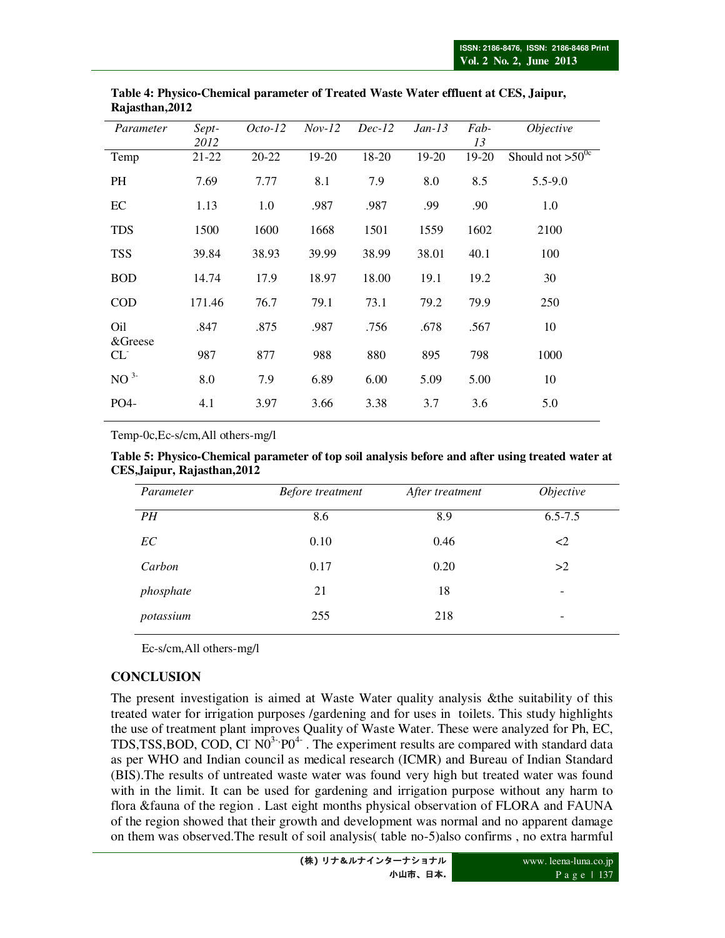| Parameter           | Sept-  | $Octo-12$ | $Nov-12$ | $Dec-12$ | $Jan-13$ | Fab-    | <i>Objective</i>      |
|---------------------|--------|-----------|----------|----------|----------|---------|-----------------------|
|                     | 2012   |           |          |          |          | 13      |                       |
| Temp                | 21-22  | $20 - 22$ | $19-20$  | 18-20    | 19-20    | $19-20$ | Should not $>50^{0c}$ |
| PH                  | 7.69   | 7.77      | 8.1      | 7.9      | 8.0      | 8.5     | $5.5 - 9.0$           |
| EC                  | 1.13   | 1.0       | .987     | .987     | .99      | .90     | 1.0                   |
| <b>TDS</b>          | 1500   | 1600      | 1668     | 1501     | 1559     | 1602    | 2100                  |
| <b>TSS</b>          | 39.84  | 38.93     | 39.99    | 38.99    | 38.01    | 40.1    | 100                   |
| <b>BOD</b>          | 14.74  | 17.9      | 18.97    | 18.00    | 19.1     | 19.2    | 30                    |
| <b>COD</b>          | 171.46 | 76.7      | 79.1     | 73.1     | 79.2     | 79.9    | 250                   |
| Oil                 | .847   | .875      | .987     | .756     | .678     | .567    | 10                    |
| &Greese<br>$CL^{-}$ | 987    | 877       | 988      | 880      | 895      | 798     | 1000                  |
| NO <sup>3</sup>     | 8.0    | 7.9       | 6.89     | 6.00     | 5.09     | 5.00    | 10                    |
| PO4-                | 4.1    | 3.97      | 3.66     | 3.38     | 3.7      | 3.6     | 5.0                   |
|                     |        |           |          |          |          |         |                       |

**Table 4: Physico-Chemical parameter of Treated Waste Water effluent at CES, Jaipur, Rajasthan,2012**

Temp-0c,Ec-s/cm,All others-mg/l

#### **Table 5: Physico-Chemical parameter of top soil analysis before and after using treated water at CES,Jaipur, Rajasthan,2012**

| Parameter | Before treatment | After treatment | Objective   |  |
|-----------|------------------|-----------------|-------------|--|
| PH        | 8.6              | 8.9             | $6.5 - 7.5$ |  |
| EC        | 0.10             | 0.46            | $\leq$ 2    |  |
| Carbon    | 0.17             | 0.20            | >2          |  |
| phosphate | 21               | 18              | -           |  |
| potassium | 255              | 218             | -           |  |

Ec-s/cm,All others-mg/l

## **CONCLUSION**

The present investigation is aimed at Waste Water quality analysis &the suitability of this treated water for irrigation purposes /gardening and for uses in toilets. This study highlights the use of treatment plant improves Quality of Waste Water. These were analyzed for Ph, EC, TDS,TSS,BOD, COD, CI  $N_0^{3.7}P_0^{4.7}$ . The experiment results are compared with standard data as per WHO and Indian council as medical research (ICMR) and Bureau of Indian Standard (BIS).The results of untreated waste water was found very high but treated water was found with in the limit. It can be used for gardening and irrigation purpose without any harm to flora &fauna of the region . Last eight months physical observation of FLORA and FAUNA of the region showed that their growth and development was normal and no apparent damage on them was observed.The result of soil analysis( table no-5)also confirms , no extra harmful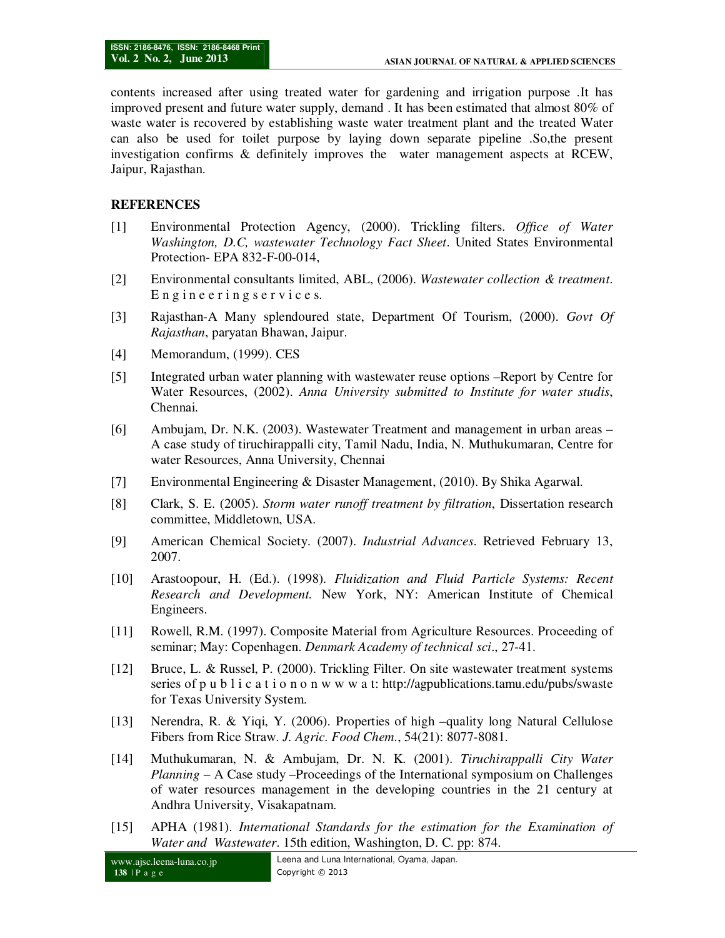contents increased after using treated water for gardening and irrigation purpose .It has improved present and future water supply, demand . It has been estimated that almost 80% of waste water is recovered by establishing waste water treatment plant and the treated Water can also be used for toilet purpose by laying down separate pipeline .So,the present investigation confirms & definitely improves the water management aspects at RCEW, Jaipur, Rajasthan.

### **REFERENCES**

- [1] Environmental Protection Agency, (2000). Trickling filters. *Office of Water Washington, D.C, wastewater Technology Fact Sheet*. United States Environmental Protection- EPA 832-F-00-014,
- [2] Environmental consultants limited, ABL, (2006). *Wastewater collection & treatment*. Engineeringservices.
- [3] Rajasthan-A Many splendoured state, Department Of Tourism, (2000). *Govt Of Rajasthan*, paryatan Bhawan, Jaipur.
- [4] Memorandum, (1999). CES
- [5] Integrated urban water planning with wastewater reuse options –Report by Centre for Water Resources, (2002). *Anna University submitted to Institute for water studis*, Chennai.
- [6] Ambujam, Dr. N.K. (2003). Wastewater Treatment and management in urban areas A case study of tiruchirappalli city, Tamil Nadu, India, N. Muthukumaran, Centre for water Resources, Anna University, Chennai
- [7] Environmental Engineering & Disaster Management, (2010). By Shika Agarwal.
- [8] Clark, S. E. (2005). *Storm water runoff treatment by filtration*, Dissertation research committee, Middletown, USA.
- [9] American Chemical Society. (2007). *Industrial Advances*. Retrieved February 13, 2007.
- [10] Arastoopour, H. (Ed.). (1998). *Fluidization and Fluid Particle Systems: Recent Research and Development.* New York, NY: American Institute of Chemical Engineers.
- [11] Rowell, R.M. (1997). Composite Material from Agriculture Resources. Proceeding of seminar; May: Copenhagen. *Denmark Academy of technical sci*., 27-41.
- [12] Bruce, L. & Russel, P. (2000). Trickling Filter. On site wastewater treatment systems series of p u b l i c a t i o n o n w w w a t: http://agpublications.tamu.edu/pubs/swaste for Texas University System.
- [13] Nerendra, R. & Yiqi, Y. (2006). Properties of high –quality long Natural Cellulose Fibers from Rice Straw. *J. Agric. Food Chem*., 54(21): 8077-8081.
- [14] Muthukumaran, N. & Ambujam, Dr. N. K. (2001). *Tiruchirappalli City Water Planning* – A Case study –Proceedings of the International symposium on Challenges of water resources management in the developing countries in the 21 century at Andhra University, Visakapatnam.
- [15] APHA (1981). *International Standards for the estimation for the Examination of Water and Wastewater*. 15th edition, Washington, D. C. pp: 874.